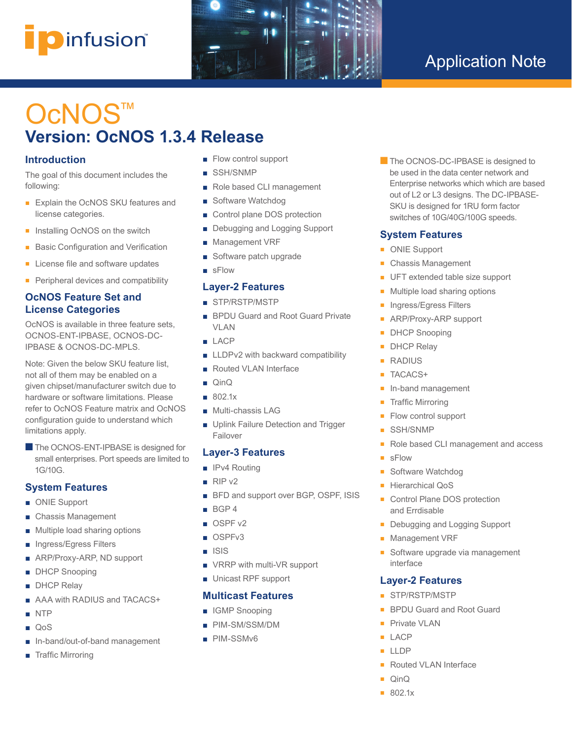# i**p**infusion® **™**



## Application Note

# OcNOS<sup>™</sup> **Version: OcNOS 1.3.4 Release**

## **Introduction**

The goal of this document includes the following:

- Explain the OcNOS SKU features and license categories.
- Installing OcNOS on the switch
- Basic Configuration and Verification
- License file and software updates
- Peripheral devices and compatibility

## **OcNOS Feature Set and License Categories**

OcNOS is available in three feature sets, OCNOS-ENT-IPBASE, OCNOS-DC-IPBASE & OCNOS-DC-MPLS.

Note: Given the below SKU feature list, not all of them may be enabled on a given chipset/manufacturer switch due to hardware or software limitations. Please refer to OcNOS Feature matrix and OcNOS configuration guide to understand which limitations apply.

■ The OCNOS-ENT-IPBASE is designed for small enterprises. Port speeds are limited to 1G/10G.

## **System Features**

- ONIE Support
- Chassis Management
- Multiple load sharing options
- Ingress/Egress Filters
- ARP/Proxy-ARP, ND support
- DHCP Snooping
- **DHCP** Relay
- AAA with RADIUS and TACACS+
- NTP
- QoS
- In-band/out-of-band management
- Traffic Mirroring
- Flow control support
- SSH/SNMP
- Role based CLI management
- Software Watchdog
- Control plane DOS protection
- Debugging and Logging Support
- Management VRF
- Software patch upgrade
- sFlow

#### **Layer-2 Features**

- STP/RSTP/MSTP
- BPDU Guard and Root Guard Private VLAN
- LACP
- LLDPv2 with backward compatibility
- Routed VLAN Interface
- QinQ
- 802.1x
- Multi-chassis LAG
- Uplink Failure Detection and Trigger Failover

## **Layer-3 Features**

- IPv4 Routing
- RIP v2
- BFD and support over BGP, OSPF, ISIS
- BGP 4
- OSPF v2
- OSPFv3
- ISIS
- VRRP with multi-VR support
- Unicast RPF support

## **Multicast Features**

- IGMP Snooping
- PIM-SM/SSM/DM
- PIM-SSMv6

**n** The OCNOS-DC-IPBASE is designed to be used in the data center network and Enterprise networks which which are based out of L2 or L3 designs. The DC-IPBASE-SKU is designed for 1RU form factor switches of 10G/40G/100G speeds.

## **System Features**

- ONIE Support
- Chassis Management
- UFT extended table size support
- Multiple load sharing options
- Ingress/Egress Filters
- ARP/Proxy-ARP support
- DHCP Snooping
- **DHCP Relay**
- RADIUS
- TACACS+
- In-band management
- **Traffic Mirroring**
- Flow control support
- SSH/SNMP
- Role based CLI management and access
- sFlow
- Software Watchdog
- Hierarchical QoS
- Control Plane DOS protection and Errdisable
- Debugging and Logging Support
- Management VRF
- Software upgrade via management interface

## **Layer-2 Features**

- STP/RSTP/MSTP
- BPDU Guard and Root Guard
- Private VI AN
- LACP
- LLDP
- Routed VLAN Interface
- QinQ
- 802.1x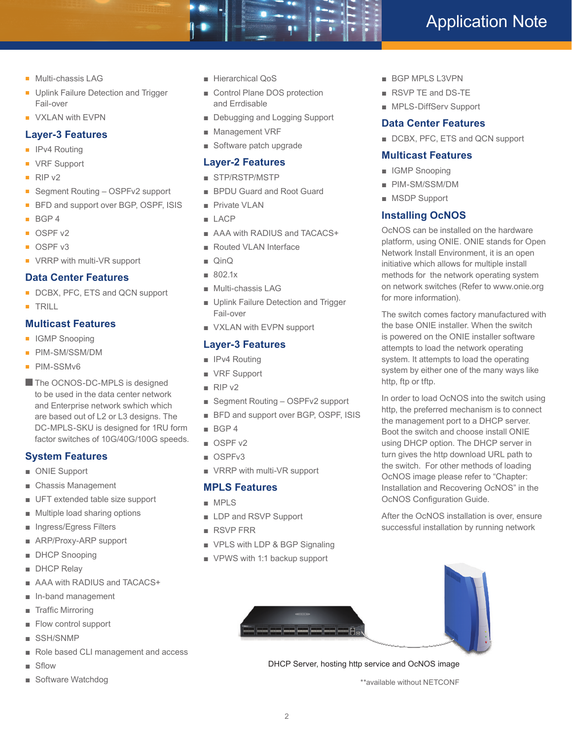- Multi-chassis LAG
- Uplink Failure Detection and Trigger Fail-over
- VXLAN with EVPN

## **Layer-3 Features**

- IPv4 Routing
- VRF Support
- RIP v2
- Segment Routing OSPFv2 support
- BFD and support over BGP, OSPF, ISIS
- BGP 4
- OSPF v2
- OSPF v3
- VRRP with multi-VR support

#### **Data Center Features**

- DCBX, PFC, ETS and QCN support
- TRILL

## **Multicast Features**

- IGMP Snooping
- PIM-SM/SSM/DM
- PIM-SSMv6
- The OCNOS-DC-MPLS is designed to be used in the data center network and Enterprise network swhich which are based out of L2 or L3 designs. The DC-MPLS-SKU is designed for 1RU form factor switches of 10G/40G/100G speeds.

## **System Features**

- ONIE Support
- Chassis Management
- UFT extended table size support
- Multiple load sharing options
- Ingress/Egress Filters
- ARP/Proxy-ARP support
- DHCP Snooping
- DHCP Relay
- AAA with RADIUS and TACACS+
- In-band management
- Traffic Mirroring
- Flow control support
- SSH/SNMP
- Role based CLI management and access
- Sflow
- Software Watchdog
- Hierarchical QoS
- Control Plane DOS protection and Errdisable
- Debugging and Logging Support
- Management VRF
- Software patch upgrade

#### **Layer-2 Features**

- STP/RSTP/MSTP
- BPDU Guard and Root Guard
- Private VLAN
- LACP
- AAA with RADIUS and TACACS+
- Routed VLAN Interface
- QinQ
- 802.1x
- Multi-chassis LAG
- Uplink Failure Detection and Trigger Fail-over
- VXLAN with EVPN support

## **Layer-3 Features**

- IPv4 Routing
- VRF Support
- RIP v<sub>2</sub>
- Segment Routing OSPFv2 support
- BFD and support over BGP, OSPF, ISIS
- BGP 4
- OSPF v2
- OSPFv3
- VRRP with multi-VR support

#### **MPLS Features**

- MPLS
- LDP and RSVP Support
- RSVP FRR
- VPLS with LDP & BGP Signaling
- VPWS with 1:1 backup support



- RSVP TE and DS-TE
- MPLS-DiffServ Support

## **Data Center Features**

■ DCBX, PFC, ETS and QCN support

#### **Multicast Features**

- IGMP Snooping
- PIM-SM/SSM/DM
- MSDP Support

## **Installing OcNOS**

OcNOS can be installed on the hardware platform, using ONIE. ONIE stands for Open Network Install Environment, it is an open initiative which allows for multiple install methods for the network operating system on network switches (Refer to www.onie.org for more information).

The switch comes factory manufactured with the base ONIE installer. When the switch is powered on the ONIE installer software attempts to load the network operating system. It attempts to load the operating system by either one of the many ways like http, ftp or tftp.

In order to load OcNOS into the switch using http, the preferred mechanism is to connect the management port to a DHCP server. Boot the switch and choose install ONIE using DHCP option. The DHCP server in turn gives the http download URL path to the switch. For other methods of loading OcNOS image please refer to "Chapter: Installation and Recovering OcNOS" in the OcNOS Configuration Guide.

After the OcNOS installation is over, ensure successful installation by running network



DHCP Server, hosting http service and OcNOS image

\*\*available without NETCONF